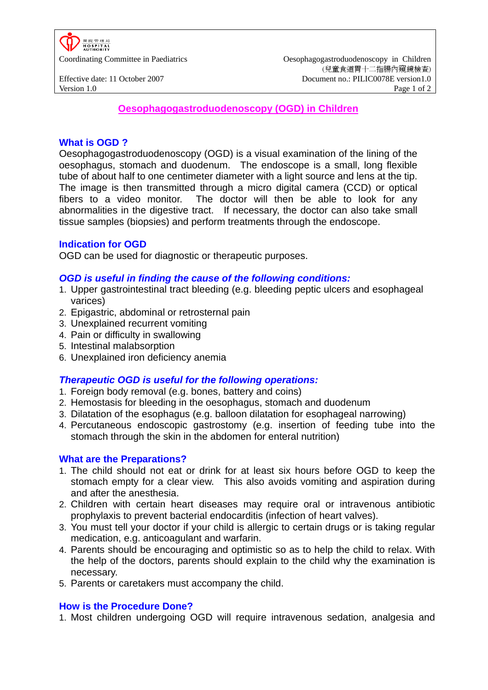

**Oesophagogastroduodenoscopy (OGD) in Children**

### **What is OGD ?**

Oesophagogastroduodenoscopy (OGD) is a visual examination of the lining of the oesophagus, stomach and duodenum. The endoscope is a small, long flexible tube of about half to one centimeter diameter with a light source and lens at the tip. The image is then transmitted through a micro digital camera (CCD) or optical fibers to a video monitor. The doctor will then be able to look for any abnormalities in the digestive tract. If necessary, the doctor can also take small tissue samples (biopsies) and perform treatments through the endoscope.

### **Indication for OGD**

OGD can be used for diagnostic or therapeutic purposes.

#### *OGD is useful in finding the cause of the following conditions:*

- 1. Upper gastrointestinal tract bleeding (e.g. bleeding peptic ulcers and esophageal varices)
- 2. Epigastric, abdominal or retrosternal pain
- 3. Unexplained recurrent vomiting
- 4. Pain or difficulty in swallowing
- 5. Intestinal malabsorption
- 6. Unexplained iron deficiency anemia

# *Therapeutic OGD is useful for the following operations:*

- 1. Foreign body removal (e.g. bones, battery and coins)
- 2. Hemostasis for bleeding in the oesophagus, stomach and duodenum
- 3. Dilatation of the esophagus (e.g. balloon dilatation for esophageal narrowing)
- 4. Percutaneous endoscopic gastrostomy (e.g. insertion of feeding tube into the stomach through the skin in the abdomen for enteral nutrition)

#### **What are the Preparations?**

- 1. The child should not eat or drink for at least six hours before OGD to keep the stomach empty for a clear view. This also avoids vomiting and aspiration during and after the anesthesia.
- 2. Children with certain heart diseases may require oral or intravenous antibiotic prophylaxis to prevent bacterial endocarditis (infection of heart valves).
- 3. You must tell your doctor if your child is allergic to certain drugs or is taking regular medication, e.g. anticoagulant and warfarin.
- 4. Parents should be encouraging and optimistic so as to help the child to relax. With the help of the doctors, parents should explain to the child why the examination is necessary.
- 5. Parents or caretakers must accompany the child.

#### **How is the Procedure Done?**

1. Most children undergoing OGD will require intravenous sedation, analgesia and